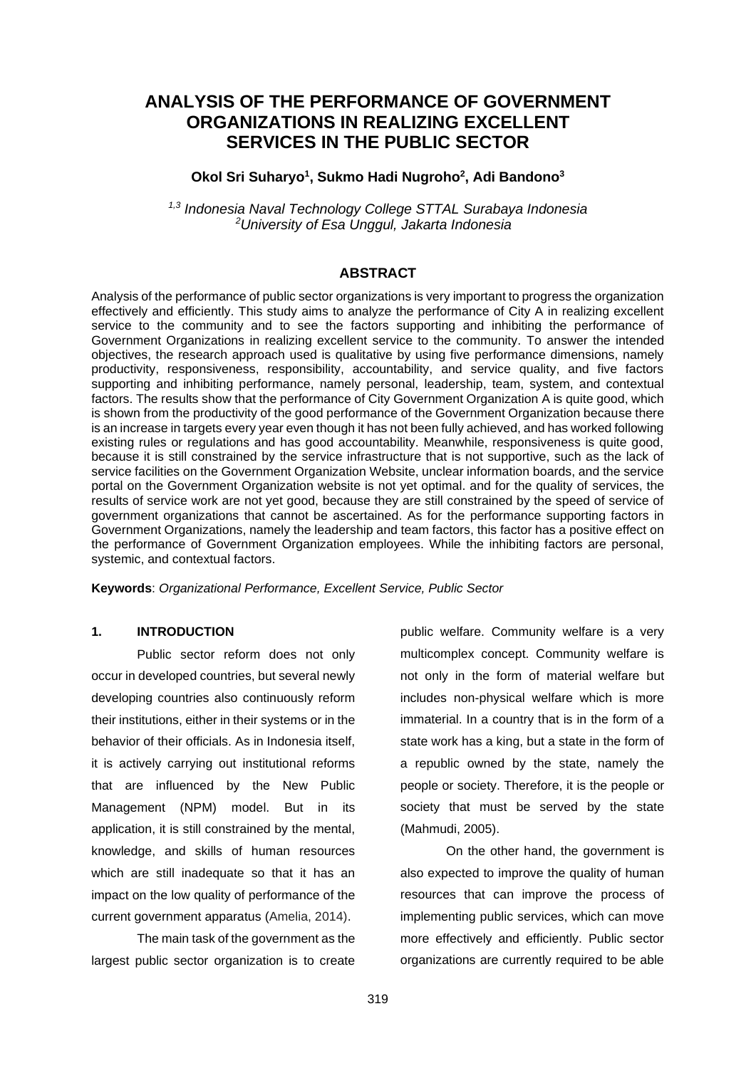# **ANALYSIS OF THE PERFORMANCE OF GOVERNMENT ORGANIZATIONS IN REALIZING EXCELLENT SERVICES IN THE PUBLIC SECTOR**

## **Okol Sri Suharyo<sup>1</sup> , Sukmo Hadi Nugroho<sup>2</sup> , Adi Bandono<sup>3</sup>**

*1,3 Indonesia Naval Technology College STTAL Surabaya Indonesia <sup>2</sup>University of Esa Unggul, Jakarta Indonesia*

# **ABSTRACT**

Analysis of the performance of public sector organizations is very important to progress the organization effectively and efficiently. This study aims to analyze the performance of City A in realizing excellent service to the community and to see the factors supporting and inhibiting the performance of Government Organizations in realizing excellent service to the community. To answer the intended objectives, the research approach used is qualitative by using five performance dimensions, namely productivity, responsiveness, responsibility, accountability, and service quality, and five factors supporting and inhibiting performance, namely personal, leadership, team, system, and contextual factors. The results show that the performance of City Government Organization A is quite good, which is shown from the productivity of the good performance of the Government Organization because there is an increase in targets every year even though it has not been fully achieved, and has worked following existing rules or regulations and has good accountability. Meanwhile, responsiveness is quite good, because it is still constrained by the service infrastructure that is not supportive, such as the lack of service facilities on the Government Organization Website, unclear information boards, and the service portal on the Government Organization website is not yet optimal. and for the quality of services, the results of service work are not yet good, because they are still constrained by the speed of service of government organizations that cannot be ascertained. As for the performance supporting factors in Government Organizations, namely the leadership and team factors, this factor has a positive effect on the performance of Government Organization employees. While the inhibiting factors are personal, systemic, and contextual factors.

**Keywords**: *Organizational Performance, Excellent Service, Public Sector*

# **1. INTRODUCTION**

Public sector reform does not only occur in developed countries, but several newly developing countries also continuously reform their institutions, either in their systems or in the behavior of their officials. As in Indonesia itself, it is actively carrying out institutional reforms that are influenced by the New Public Management (NPM) model. But in its application, it is still constrained by the mental, knowledge, and skills of human resources which are still inadequate so that it has an impact on the low quality of performance of the current government apparatus (Amelia, 2014).

The main task of the government as the largest public sector organization is to create

public welfare. Community welfare is a very multicomplex concept. Community welfare is not only in the form of material welfare but includes non-physical welfare which is more immaterial. In a country that is in the form of a state work has a king, but a state in the form of a republic owned by the state, namely the people or society. Therefore, it is the people or society that must be served by the state (Mahmudi, 2005).

On the other hand, the government is also expected to improve the quality of human resources that can improve the process of implementing public services, which can move more effectively and efficiently. Public sector organizations are currently required to be able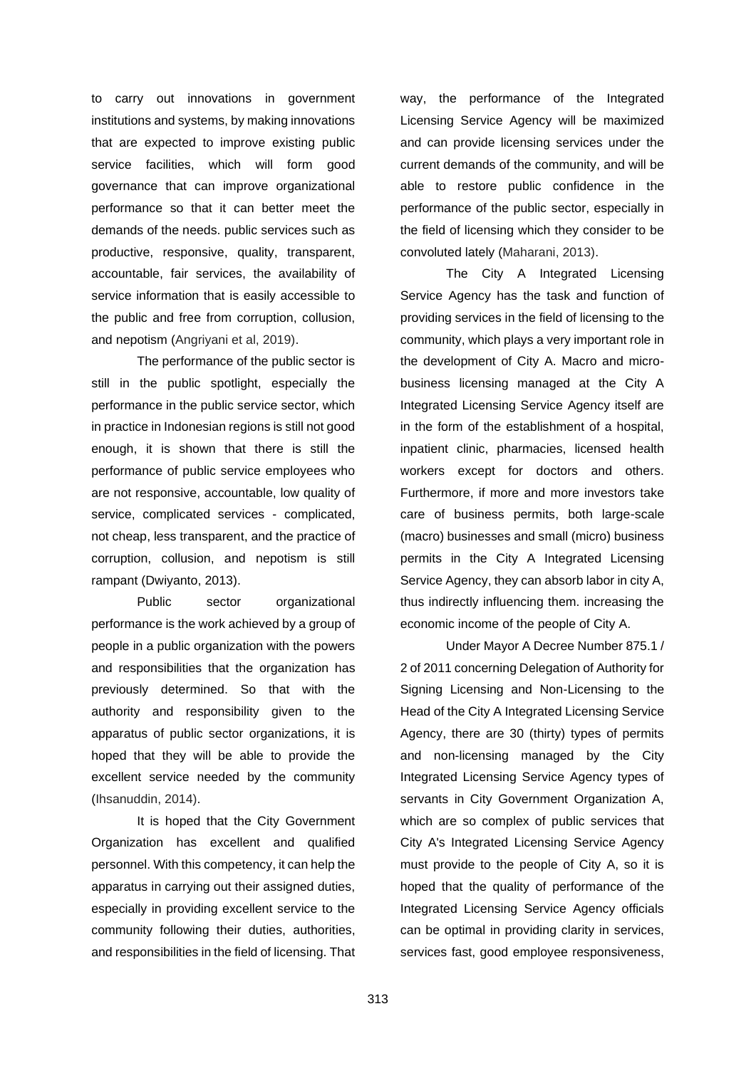to carry out innovations in government institutions and systems, by making innovations that are expected to improve existing public service facilities, which will form good governance that can improve organizational performance so that it can better meet the demands of the needs. public services such as productive, responsive, quality, transparent, accountable, fair services, the availability of service information that is easily accessible to the public and free from corruption, collusion, and nepotism (Angriyani et al, 2019).

The performance of the public sector is still in the public spotlight, especially the performance in the public service sector, which in practice in Indonesian regions is still not good enough, it is shown that there is still the performance of public service employees who are not responsive, accountable, low quality of service, complicated services - complicated, not cheap, less transparent, and the practice of corruption, collusion, and nepotism is still rampant (Dwiyanto, 2013).

Public sector organizational performance is the work achieved by a group of people in a public organization with the powers and responsibilities that the organization has previously determined. So that with the authority and responsibility given to the apparatus of public sector organizations, it is hoped that they will be able to provide the excellent service needed by the community (Ihsanuddin, 2014).

It is hoped that the City Government Organization has excellent and qualified personnel. With this competency, it can help the apparatus in carrying out their assigned duties, especially in providing excellent service to the community following their duties, authorities, and responsibilities in the field of licensing. That way, the performance of the Integrated Licensing Service Agency will be maximized and can provide licensing services under the current demands of the community, and will be able to restore public confidence in the performance of the public sector, especially in the field of licensing which they consider to be convoluted lately (Maharani, 2013).

The City A Integrated Licensing Service Agency has the task and function of providing services in the field of licensing to the community, which plays a very important role in the development of City A. Macro and microbusiness licensing managed at the City A Integrated Licensing Service Agency itself are in the form of the establishment of a hospital, inpatient clinic, pharmacies, licensed health workers except for doctors and others. Furthermore, if more and more investors take care of business permits, both large-scale (macro) businesses and small (micro) business permits in the City A Integrated Licensing Service Agency, they can absorb labor in city A, thus indirectly influencing them. increasing the economic income of the people of City A.

Under Mayor A Decree Number 875.1 / 2 of 2011 concerning Delegation of Authority for Signing Licensing and Non-Licensing to the Head of the City A Integrated Licensing Service Agency, there are 30 (thirty) types of permits and non-licensing managed by the City Integrated Licensing Service Agency types of servants in City Government Organization A, which are so complex of public services that City A's Integrated Licensing Service Agency must provide to the people of City A, so it is hoped that the quality of performance of the Integrated Licensing Service Agency officials can be optimal in providing clarity in services, services fast, good employee responsiveness,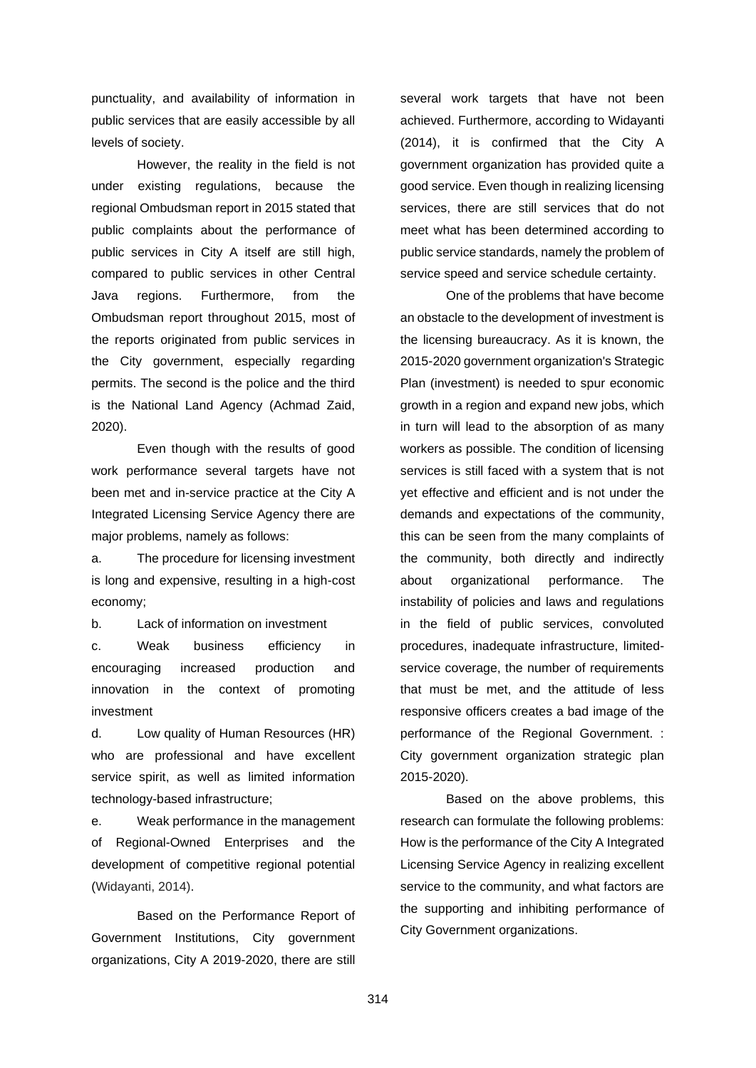punctuality, and availability of information in public services that are easily accessible by all levels of society.

However, the reality in the field is not under existing regulations, because the regional Ombudsman report in 2015 stated that public complaints about the performance of public services in City A itself are still high, compared to public services in other Central Java regions. Furthermore, from the Ombudsman report throughout 2015, most of the reports originated from public services in the City government, especially regarding permits. The second is the police and the third is the National Land Agency (Achmad Zaid, 2020).

Even though with the results of good work performance several targets have not been met and in-service practice at the City A Integrated Licensing Service Agency there are major problems, namely as follows:

a. The procedure for licensing investment is long and expensive, resulting in a high-cost economy;

b. Lack of information on investment

c. Weak business efficiency in encouraging increased production and innovation in the context of promoting investment

d. Low quality of Human Resources (HR) who are professional and have excellent service spirit, as well as limited information technology-based infrastructure;

e. Weak performance in the management of Regional-Owned Enterprises and the development of competitive regional potential (Widayanti, 2014).

Based on the Performance Report of Government Institutions, City government organizations, City A 2019-2020, there are still

several work targets that have not been achieved. Furthermore, according to Widayanti (2014), it is confirmed that the City A government organization has provided quite a good service. Even though in realizing licensing services, there are still services that do not meet what has been determined according to public service standards, namely the problem of service speed and service schedule certainty.

One of the problems that have become an obstacle to the development of investment is the licensing bureaucracy. As it is known, the 2015-2020 government organization's Strategic Plan (investment) is needed to spur economic growth in a region and expand new jobs, which in turn will lead to the absorption of as many workers as possible. The condition of licensing services is still faced with a system that is not yet effective and efficient and is not under the demands and expectations of the community, this can be seen from the many complaints of the community, both directly and indirectly about organizational performance. The instability of policies and laws and regulations in the field of public services, convoluted procedures, inadequate infrastructure, limitedservice coverage, the number of requirements that must be met, and the attitude of less responsive officers creates a bad image of the performance of the Regional Government. : City government organization strategic plan 2015-2020).

Based on the above problems, this research can formulate the following problems: How is the performance of the City A Integrated Licensing Service Agency in realizing excellent service to the community, and what factors are the supporting and inhibiting performance of City Government organizations.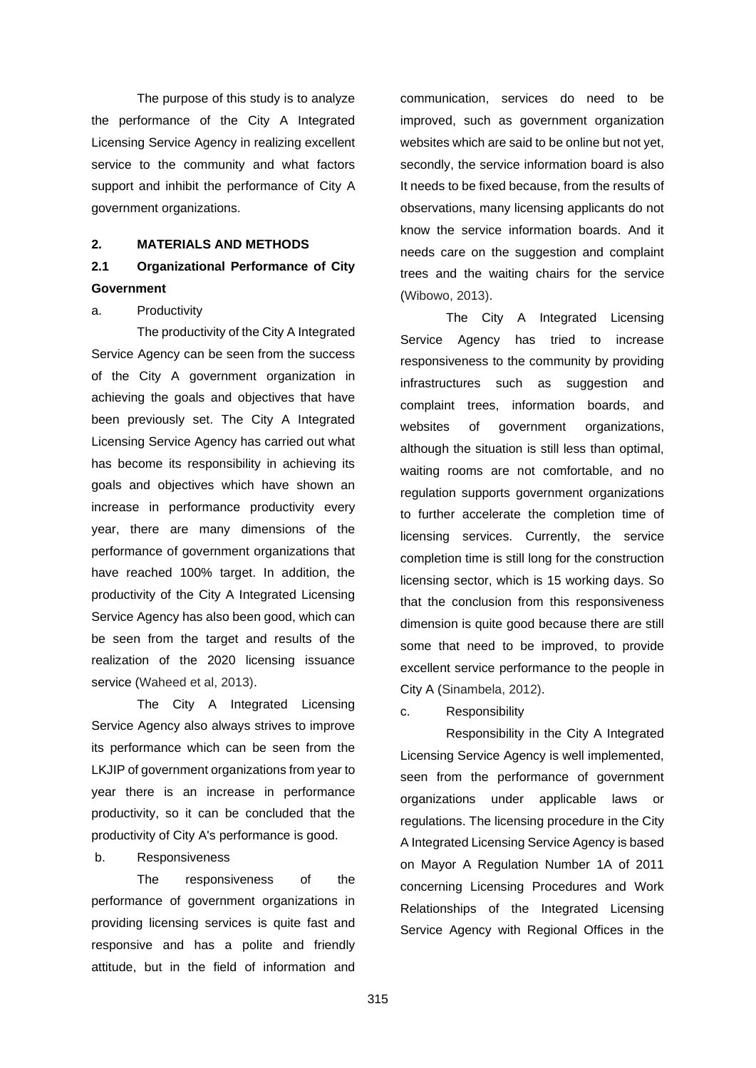The purpose of this study is to analyze the performance of the City A Integrated Licensing Service Agency in realizing excellent service to the community and what factors support and inhibit the performance of City A government organizations.

## **2. MATERIALS AND METHODS**

# **2.1 Organizational Performance of City Government**

#### a. Productivity

The productivity of the City A Integrated Service Agency can be seen from the success of the City A government organization in achieving the goals and objectives that have been previously set. The City A Integrated Licensing Service Agency has carried out what has become its responsibility in achieving its goals and objectives which have shown an increase in performance productivity every year, there are many dimensions of the performance of government organizations that have reached 100% target. In addition, the productivity of the City A Integrated Licensing Service Agency has also been good, which can be seen from the target and results of the realization of the 2020 licensing issuance service (Waheed et al, 2013).

The City A Integrated Licensing Service Agency also always strives to improve its performance which can be seen from the LKJIP of government organizations from year to year there is an increase in performance productivity, so it can be concluded that the productivity of City A's performance is good.

### b. Responsiveness

The responsiveness of the performance of government organizations in providing licensing services is quite fast and responsive and has a polite and friendly attitude, but in the field of information and

communication, services do need to be improved, such as government organization websites which are said to be online but not yet, secondly, the service information board is also It needs to be fixed because, from the results of observations, many licensing applicants do not know the service information boards. And it needs care on the suggestion and complaint trees and the waiting chairs for the service (Wibowo, 2013).

The City A Integrated Licensing Service Agency has tried to increase responsiveness to the community by providing infrastructures such as suggestion and complaint trees, information boards, and websites of government organizations, although the situation is still less than optimal, waiting rooms are not comfortable, and no regulation supports government organizations to further accelerate the completion time of licensing services. Currently, the service completion time is still long for the construction licensing sector, which is 15 working days. So that the conclusion from this responsiveness dimension is quite good because there are still some that need to be improved, to provide excellent service performance to the people in City A (Sinambela, 2012).

#### c. Responsibility

Responsibility in the City A Integrated Licensing Service Agency is well implemented, seen from the performance of government organizations under applicable laws or regulations. The licensing procedure in the City A Integrated Licensing Service Agency is based on Mayor A Regulation Number 1A of 2011 concerning Licensing Procedures and Work Relationships of the Integrated Licensing Service Agency with Regional Offices in the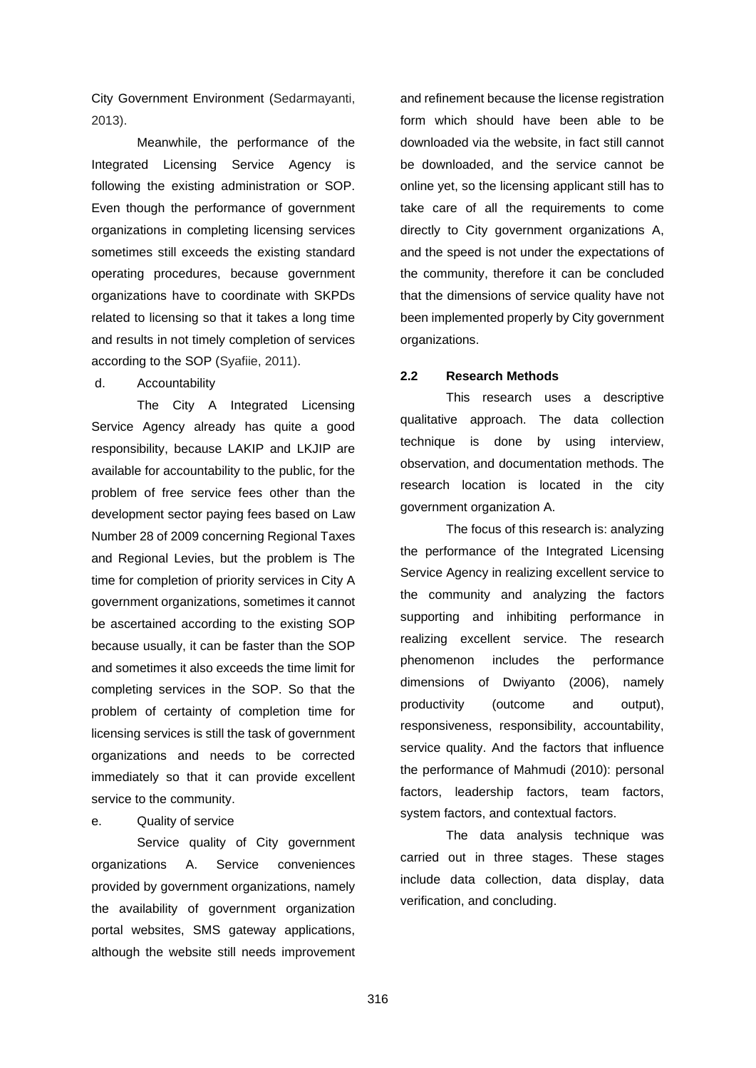City Government Environment (Sedarmayanti, 2013).

Meanwhile, the performance of the Integrated Licensing Service Agency is following the existing administration or SOP. Even though the performance of government organizations in completing licensing services sometimes still exceeds the existing standard operating procedures, because government organizations have to coordinate with SKPDs related to licensing so that it takes a long time and results in not timely completion of services according to the SOP (Syafiie, 2011).

d. Accountability

The City A Integrated Licensing Service Agency already has quite a good responsibility, because LAKIP and LKJIP are available for accountability to the public, for the problem of free service fees other than the development sector paying fees based on Law Number 28 of 2009 concerning Regional Taxes and Regional Levies, but the problem is The time for completion of priority services in City A government organizations, sometimes it cannot be ascertained according to the existing SOP because usually, it can be faster than the SOP and sometimes it also exceeds the time limit for completing services in the SOP. So that the problem of certainty of completion time for licensing services is still the task of government organizations and needs to be corrected immediately so that it can provide excellent service to the community.

e. Quality of service

Service quality of City government organizations A. Service conveniences provided by government organizations, namely the availability of government organization portal websites, SMS gateway applications, although the website still needs improvement and refinement because the license registration form which should have been able to be downloaded via the website, in fact still cannot be downloaded, and the service cannot be online yet, so the licensing applicant still has to take care of all the requirements to come directly to City government organizations A, and the speed is not under the expectations of the community, therefore it can be concluded that the dimensions of service quality have not been implemented properly by City government organizations.

# **2.2 Research Methods**

This research uses a descriptive qualitative approach. The data collection technique is done by using interview, observation, and documentation methods. The research location is located in the city government organization A.

The focus of this research is: analyzing the performance of the Integrated Licensing Service Agency in realizing excellent service to the community and analyzing the factors supporting and inhibiting performance in realizing excellent service. The research phenomenon includes the performance dimensions of Dwiyanto (2006), namely productivity (outcome and output), responsiveness, responsibility, accountability, service quality. And the factors that influence the performance of Mahmudi (2010): personal factors, leadership factors, team factors, system factors, and contextual factors.

The data analysis technique was carried out in three stages. These stages include data collection, data display, data verification, and concluding.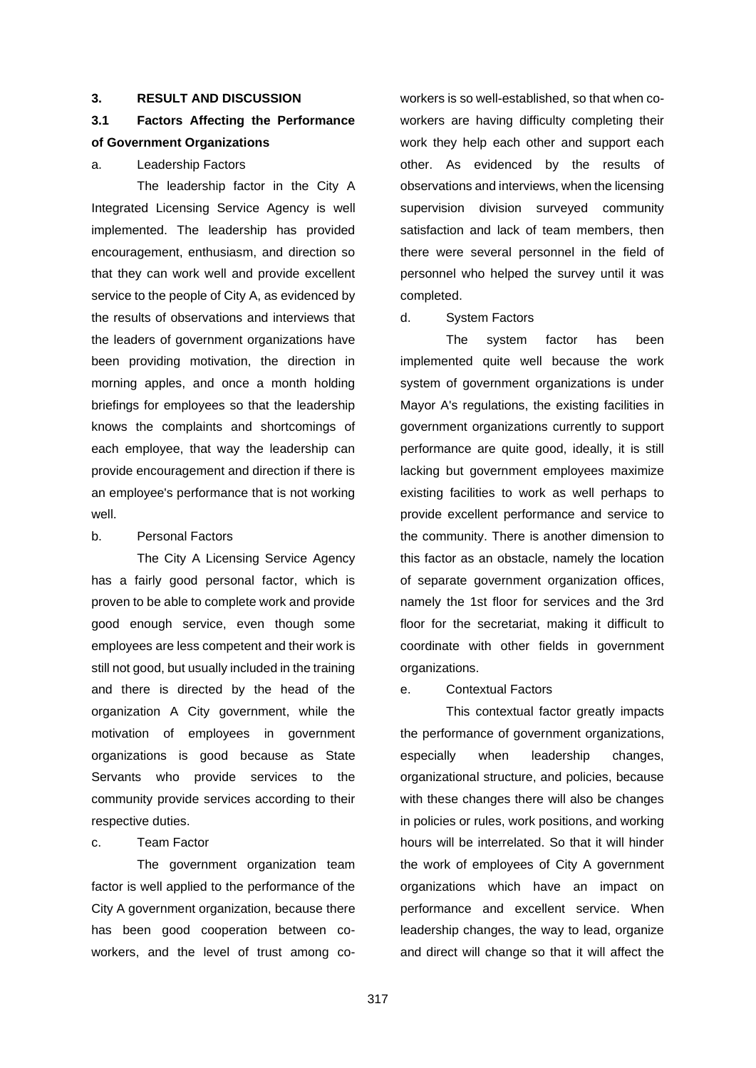# **3. RESULT AND DISCUSSION**

# **3.1 Factors Affecting the Performance of Government Organizations**

### a. Leadership Factors

The leadership factor in the City A Integrated Licensing Service Agency is well implemented. The leadership has provided encouragement, enthusiasm, and direction so that they can work well and provide excellent service to the people of City A, as evidenced by the results of observations and interviews that the leaders of government organizations have been providing motivation, the direction in morning apples, and once a month holding briefings for employees so that the leadership knows the complaints and shortcomings of each employee, that way the leadership can provide encouragement and direction if there is an employee's performance that is not working well.

### b. Personal Factors

The City A Licensing Service Agency has a fairly good personal factor, which is proven to be able to complete work and provide good enough service, even though some employees are less competent and their work is still not good, but usually included in the training and there is directed by the head of the organization A City government, while the motivation of employees in government organizations is good because as State Servants who provide services to the community provide services according to their respective duties.

### c. Team Factor

The government organization team factor is well applied to the performance of the City A government organization, because there has been good cooperation between coworkers, and the level of trust among coworkers is so well-established, so that when coworkers are having difficulty completing their work they help each other and support each other. As evidenced by the results of observations and interviews, when the licensing supervision division surveyed community satisfaction and lack of team members, then there were several personnel in the field of personnel who helped the survey until it was completed.

### d. System Factors

The system factor has been implemented quite well because the work system of government organizations is under Mayor A's regulations, the existing facilities in government organizations currently to support performance are quite good, ideally, it is still lacking but government employees maximize existing facilities to work as well perhaps to provide excellent performance and service to the community. There is another dimension to this factor as an obstacle, namely the location of separate government organization offices, namely the 1st floor for services and the 3rd floor for the secretariat, making it difficult to coordinate with other fields in government organizations.

### e. Contextual Factors

This contextual factor greatly impacts the performance of government organizations, especially when leadership changes, organizational structure, and policies, because with these changes there will also be changes in policies or rules, work positions, and working hours will be interrelated. So that it will hinder the work of employees of City A government organizations which have an impact on performance and excellent service. When leadership changes, the way to lead, organize and direct will change so that it will affect the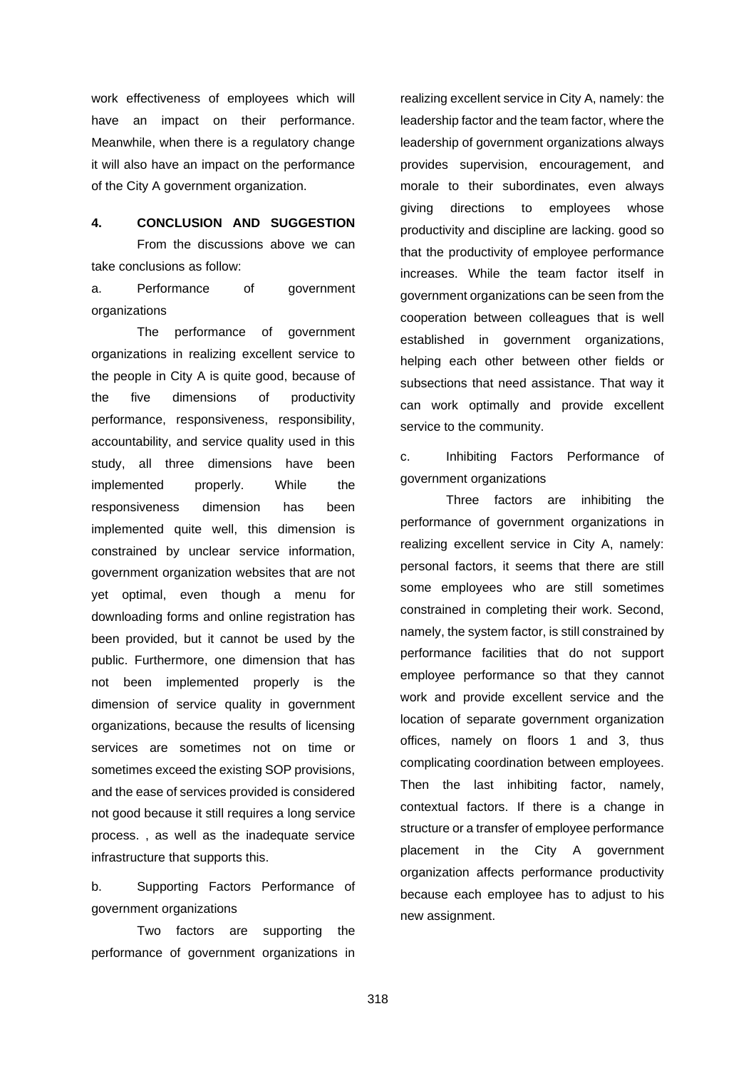work effectiveness of employees which will have an impact on their performance. Meanwhile, when there is a regulatory change it will also have an impact on the performance of the City A government organization.

### **4. CONCLUSION AND SUGGESTION**

From the discussions above we can take conclusions as follow:

a. Performance of government organizations

The performance of government organizations in realizing excellent service to the people in City A is quite good, because of the five dimensions of productivity performance, responsiveness, responsibility, accountability, and service quality used in this study, all three dimensions have been implemented properly. While the responsiveness dimension has been implemented quite well, this dimension is constrained by unclear service information, government organization websites that are not yet optimal, even though a menu for downloading forms and online registration has been provided, but it cannot be used by the public. Furthermore, one dimension that has not been implemented properly is the dimension of service quality in government organizations, because the results of licensing services are sometimes not on time or sometimes exceed the existing SOP provisions, and the ease of services provided is considered not good because it still requires a long service process. , as well as the inadequate service infrastructure that supports this.

b. Supporting Factors Performance of government organizations

Two factors are supporting the performance of government organizations in realizing excellent service in City A, namely: the leadership factor and the team factor, where the leadership of government organizations always provides supervision, encouragement, and morale to their subordinates, even always giving directions to employees whose productivity and discipline are lacking. good so that the productivity of employee performance increases. While the team factor itself in government organizations can be seen from the cooperation between colleagues that is well established in government organizations, helping each other between other fields or subsections that need assistance. That way it can work optimally and provide excellent service to the community.

c. Inhibiting Factors Performance of government organizations

Three factors are inhibiting the performance of government organizations in realizing excellent service in City A, namely: personal factors, it seems that there are still some employees who are still sometimes constrained in completing their work. Second, namely, the system factor, is still constrained by performance facilities that do not support employee performance so that they cannot work and provide excellent service and the location of separate government organization offices, namely on floors 1 and 3, thus complicating coordination between employees. Then the last inhibiting factor, namely, contextual factors. If there is a change in structure or a transfer of employee performance placement in the City A government organization affects performance productivity because each employee has to adjust to his new assignment.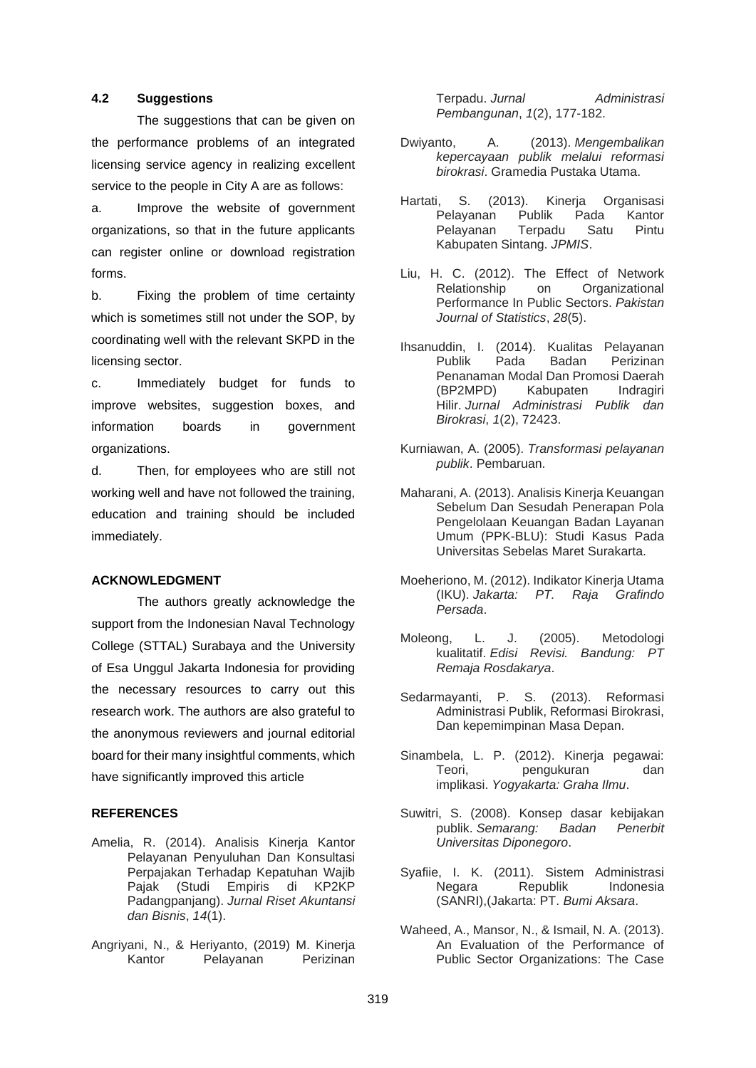# **4.2 Suggestions**

The suggestions that can be given on the performance problems of an integrated licensing service agency in realizing excellent service to the people in City A are as follows:

a. Improve the website of government organizations, so that in the future applicants can register online or download registration forms.

b. Fixing the problem of time certainty which is sometimes still not under the SOP, by coordinating well with the relevant SKPD in the licensing sector.

c. Immediately budget for funds to improve websites, suggestion boxes, and information boards in government organizations.

d. Then, for employees who are still not working well and have not followed the training, education and training should be included immediately.

### **ACKNOWLEDGMENT**

The authors greatly acknowledge the support from the Indonesian Naval Technology College (STTAL) Surabaya and the University of Esa Unggul Jakarta Indonesia for providing the necessary resources to carry out this research work. The authors are also grateful to the anonymous reviewers and journal editorial board for their many insightful comments, which have significantly improved this article

### **REFERENCES**

- Amelia, R. (2014). Analisis Kinerja Kantor Pelayanan Penyuluhan Dan Konsultasi Perpajakan Terhadap Kepatuhan Wajib Pajak (Studi Empiris di KP2KP Padangpanjang). *Jurnal Riset Akuntansi dan Bisnis*, *14*(1).
- Angriyani, N., & Heriyanto, (2019) M. Kinerja Kantor Pelayanan Perizinan

Terpadu. *Jurnal Administrasi Pembangunan*, *1*(2), 177-182.

- Dwiyanto, A. (2013). *Mengembalikan kepercayaan publik melalui reformasi birokrasi*. Gramedia Pustaka Utama.
- Hartati, S. (2013). Kinerja Organisasi Pelayanan Publik Pada Kantor Pelayanan Terpadu Satu Pintu Kabupaten Sintang. *JPMIS*.
- Liu, H. C. (2012). The Effect of Network Relationship on Organizational Performance In Public Sectors. *Pakistan Journal of Statistics*, *28*(5).
- Ihsanuddin, I. (2014). Kualitas Pelayanan Publik Pada Badan Perizinan Penanaman Modal Dan Promosi Daerah (BP2MPD) Kabupaten Indragiri Hilir. *Jurnal Administrasi Publik dan Birokrasi*, *1*(2), 72423.
- Kurniawan, A. (2005). *Transformasi pelayanan publik*. Pembaruan.
- Maharani, A. (2013). Analisis Kinerja Keuangan Sebelum Dan Sesudah Penerapan Pola Pengelolaan Keuangan Badan Layanan Umum (PPK-BLU): Studi Kasus Pada Universitas Sebelas Maret Surakarta.
- Moeheriono, M. (2012). Indikator Kinerja Utama (IKU). *Jakarta: PT. Raja Grafindo Persada*.
- Moleong, L. J. (2005). Metodologi kualitatif. *Edisi Revisi. Bandung: PT Remaja Rosdakarya*.
- Sedarmayanti, P. S. (2013). Reformasi Administrasi Publik, Reformasi Birokrasi, Dan kepemimpinan Masa Depan.
- Sinambela, L. P. (2012). Kinerja pegawai: Teori, pengukuran dan implikasi. *Yogyakarta: Graha Ilmu*.
- Suwitri, S. (2008). Konsep dasar kebijakan publik. *Semarang: Badan Penerbit Universitas Diponegoro*.
- Syafiie, I. K. (2011). Sistem Administrasi Negara Republik Indonesia (SANRI),(Jakarta: PT. *Bumi Aksara*.
- Waheed, A., Mansor, N., & Ismail, N. A. (2013). An Evaluation of the Performance of Public Sector Organizations: The Case